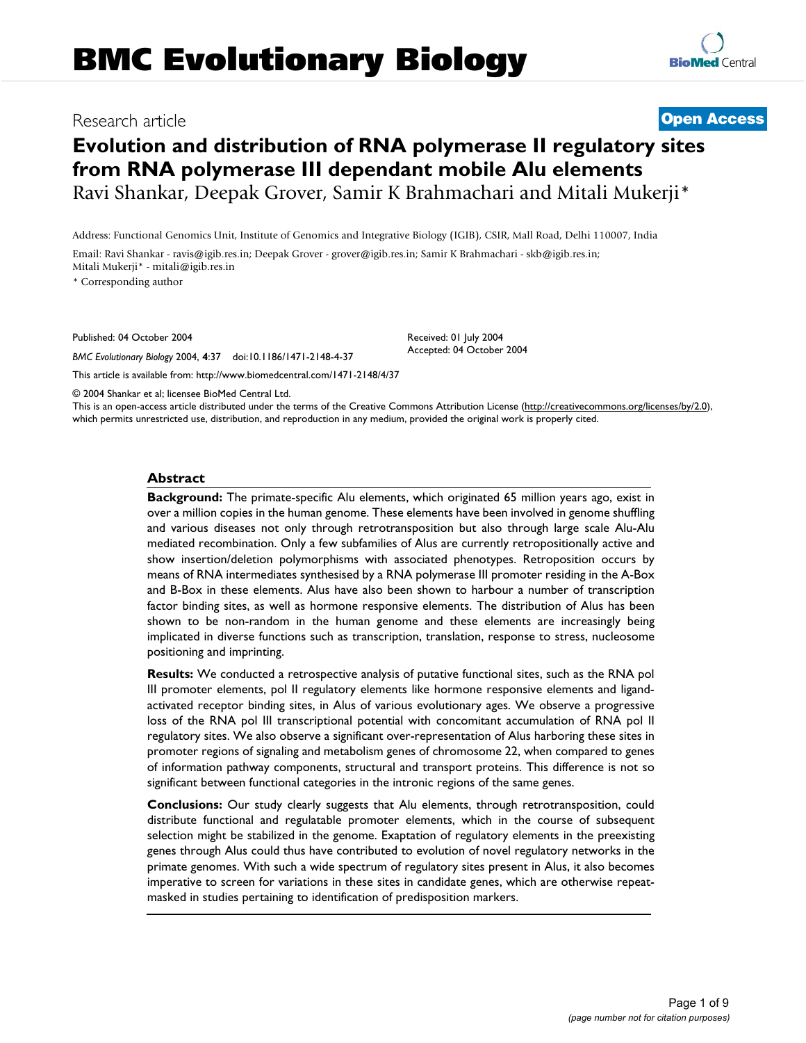# Research article **Contract Contract Contract Contract Contract Contract Contract Contract Contract Contract Contract Contract Contract Contract Contract Contract Contract Contract Contract Contract Contract Contract Contra**

# **Evolution and distribution of RNA polymerase II regulatory sites from RNA polymerase III dependant mobile Alu elements** Ravi Shankar, Deepak Grover, Samir K Brahmachari and Mitali Mukerji\*

Address: Functional Genomics Unit, Institute of Genomics and Integrative Biology (IGIB), CSIR, Mall Road, Delhi 110007, India

Email: Ravi Shankar - ravis@igib.res.in; Deepak Grover - grover@igib.res.in; Samir K Brahmachari - skb@igib.res.in; Mitali Mukerji\* - mitali@igib.res.in

\* Corresponding author

Published: 04 October 2004

*BMC Evolutionary Biology* 2004, **4**:37 doi:10.1186/1471-2148-4-37

[This article is available from: http://www.biomedcentral.com/1471-2148/4/37](http://www.biomedcentral.com/1471-2148/4/37)

© 2004 Shankar et al; licensee BioMed Central Ltd.

This is an open-access article distributed under the terms of the Creative Commons Attribution License (<http://creativecommons.org/licenses/by/2.0>), which permits unrestricted use, distribution, and reproduction in any medium, provided the original work is properly cited.

#### **Abstract**

**Background:** The primate-specific Alu elements, which originated 65 million years ago, exist in over a million copies in the human genome. These elements have been involved in genome shuffling and various diseases not only through retrotransposition but also through large scale Alu-Alu mediated recombination. Only a few subfamilies of Alus are currently retropositionally active and show insertion/deletion polymorphisms with associated phenotypes. Retroposition occurs by means of RNA intermediates synthesised by a RNA polymerase III promoter residing in the A-Box and B-Box in these elements. Alus have also been shown to harbour a number of transcription factor binding sites, as well as hormone responsive elements. The distribution of Alus has been shown to be non-random in the human genome and these elements are increasingly being implicated in diverse functions such as transcription, translation, response to stress, nucleosome positioning and imprinting.

**Results:** We conducted a retrospective analysis of putative functional sites, such as the RNA pol III promoter elements, pol II regulatory elements like hormone responsive elements and ligandactivated receptor binding sites, in Alus of various evolutionary ages. We observe a progressive loss of the RNA pol III transcriptional potential with concomitant accumulation of RNA pol II regulatory sites. We also observe a significant over-representation of Alus harboring these sites in promoter regions of signaling and metabolism genes of chromosome 22, when compared to genes of information pathway components, structural and transport proteins. This difference is not so significant between functional categories in the intronic regions of the same genes.

**Conclusions:** Our study clearly suggests that Alu elements, through retrotransposition, could distribute functional and regulatable promoter elements, which in the course of subsequent selection might be stabilized in the genome. Exaptation of regulatory elements in the preexisting genes through Alus could thus have contributed to evolution of novel regulatory networks in the primate genomes. With such a wide spectrum of regulatory sites present in Alus, it also becomes imperative to screen for variations in these sites in candidate genes, which are otherwise repeatmasked in studies pertaining to identification of predisposition markers.



Received: 01 July 2004 Accepted: 04 October 2004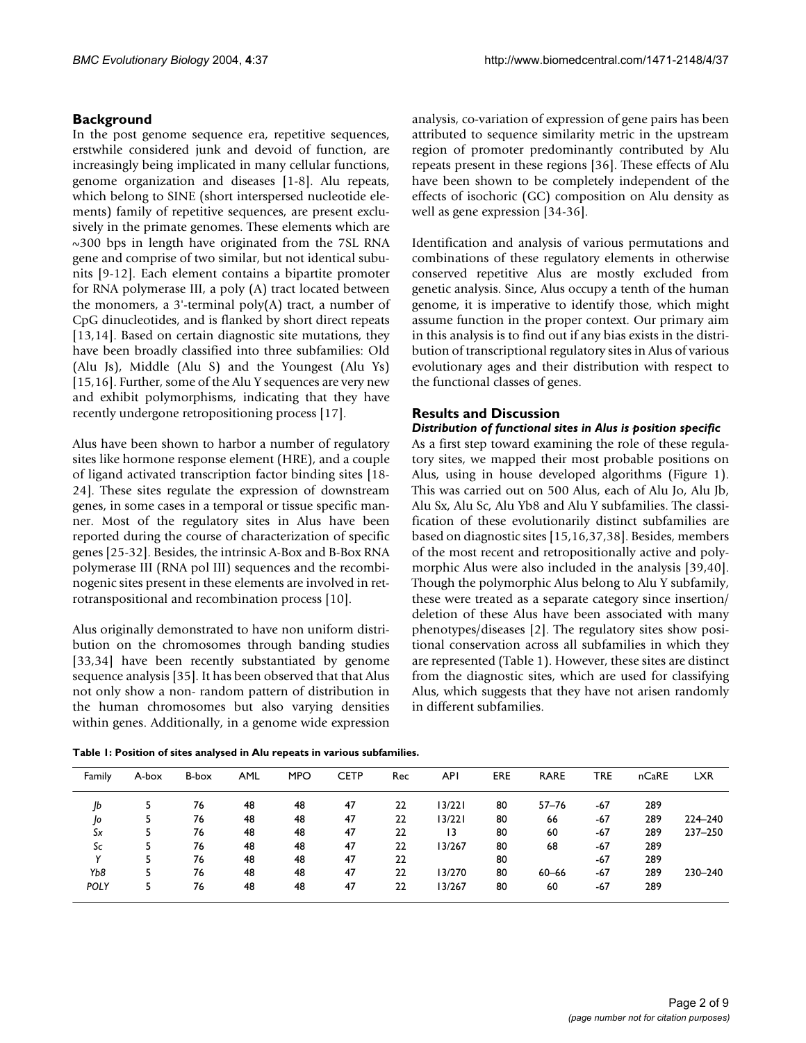# **Background**

In the post genome sequence era, repetitive sequences, erstwhile considered junk and devoid of function, are increasingly being implicated in many cellular functions, genome organization and diseases [1-8]. Alu repeats, which belong to SINE (short interspersed nucleotide elements) family of repetitive sequences, are present exclusively in the primate genomes. These elements which are  $\sim$ 300 bps in length have originated from the 7SL RNA gene and comprise of two similar, but not identical subunits [9-12]. Each element contains a bipartite promoter for RNA polymerase III, a poly (A) tract located between the monomers, a 3'-terminal  $poly(A)$  tract, a number of CpG dinucleotides, and is flanked by short direct repeats [13,14]. Based on certain diagnostic site mutations, they have been broadly classified into three subfamilies: Old (Alu Js), Middle (Alu S) and the Youngest (Alu Ys) [15,16]. Further, some of the Alu Y sequences are very new and exhibit polymorphisms, indicating that they have recently undergone retropositioning process [17].

Alus have been shown to harbor a number of regulatory sites like hormone response element (HRE), and a couple of ligand activated transcription factor binding sites [18- 24]. These sites regulate the expression of downstream genes, in some cases in a temporal or tissue specific manner. Most of the regulatory sites in Alus have been reported during the course of characterization of specific genes [25-32]. Besides, the intrinsic A-Box and B-Box RNA polymerase III (RNA pol III) sequences and the recombinogenic sites present in these elements are involved in retrotranspositional and recombination process [10].

Alus originally demonstrated to have non uniform distribution on the chromosomes through banding studies [33,34] have been recently substantiated by genome sequence analysis [35]. It has been observed that that Alus not only show a non- random pattern of distribution in the human chromosomes but also varying densities within genes. Additionally, in a genome wide expression

analysis, co-variation of expression of gene pairs has been attributed to sequence similarity metric in the upstream region of promoter predominantly contributed by Alu repeats present in these regions [36]. These effects of Alu have been shown to be completely independent of the effects of isochoric (GC) composition on Alu density as well as gene expression [34-36].

Identification and analysis of various permutations and combinations of these regulatory elements in otherwise conserved repetitive Alus are mostly excluded from genetic analysis. Since, Alus occupy a tenth of the human genome, it is imperative to identify those, which might assume function in the proper context. Our primary aim in this analysis is to find out if any bias exists in the distribution of transcriptional regulatory sites in Alus of various evolutionary ages and their distribution with respect to the functional classes of genes.

# **Results and Discussion**

*Distribution of functional sites in Alus is position specific* As a first step toward examining the role of these regulatory sites, we mapped their most probable positions on Alus, using in house developed algorithms (Figure [1\)](#page-2-0). This was carried out on 500 Alus, each of Alu Jo, Alu Jb, Alu Sx, Alu Sc, Alu Yb8 and Alu Y subfamilies. The classification of these evolutionarily distinct subfamilies are based on diagnostic sites [15,16,37,38]. Besides, members of the most recent and retropositionally active and polymorphic Alus were also included in the analysis [39,40]. Though the polymorphic Alus belong to Alu Y subfamily, these were treated as a separate category since insertion/ deletion of these Alus have been associated with many phenotypes/diseases [2]. The regulatory sites show positional conservation across all subfamilies in which they are represented (Table [1](#page-1-0)). However, these sites are distinct from the diagnostic sites, which are used for classifying Alus, which suggests that they have not arisen randomly in different subfamilies.

<span id="page-1-0"></span>**Table 1: Position of sites analysed in Alu repeats in various subfamilies.**

| Family      | A-box | B-box | AML | <b>MPO</b> | <b>CETP</b> | Rec | API    | <b>ERE</b> | <b>RARE</b> | TRE   | nCaRE | <b>LXR</b>  |
|-------------|-------|-------|-----|------------|-------------|-----|--------|------------|-------------|-------|-------|-------------|
| Jb          |       | 76    | 48  | 48         | 47          | 22  | 13/221 | 80         | $57 - 76$   | $-67$ | 289   |             |
| Jo          | ь     | 76    | 48  | 48         | 47          | 22  | 13/221 | 80         | 66          | $-67$ | 289   | $224 - 240$ |
| Sx          | 5     | 76    | 48  | 48         | 47          | 22  | 13     | 80         | 60          | -67   | 289   | 237-250     |
| Sc          | ь     | 76    | 48  | 48         | 47          | 22  | 13/267 | 80         | 68          | -67   | 289   |             |
| v           | 5     | 76    | 48  | 48         | 47          | 22  |        | 80         |             | -67   | 289   |             |
| ҮЬ8         |       | 76    | 48  | 48         | 47          | 22  | 13/270 | 80         | $60 - 66$   | $-67$ | 289   | 230-240     |
| <b>POLY</b> | 5     | 76    | 48  | 48         | 47          | 22  | 13/267 | 80         | 60          | $-67$ | 289   |             |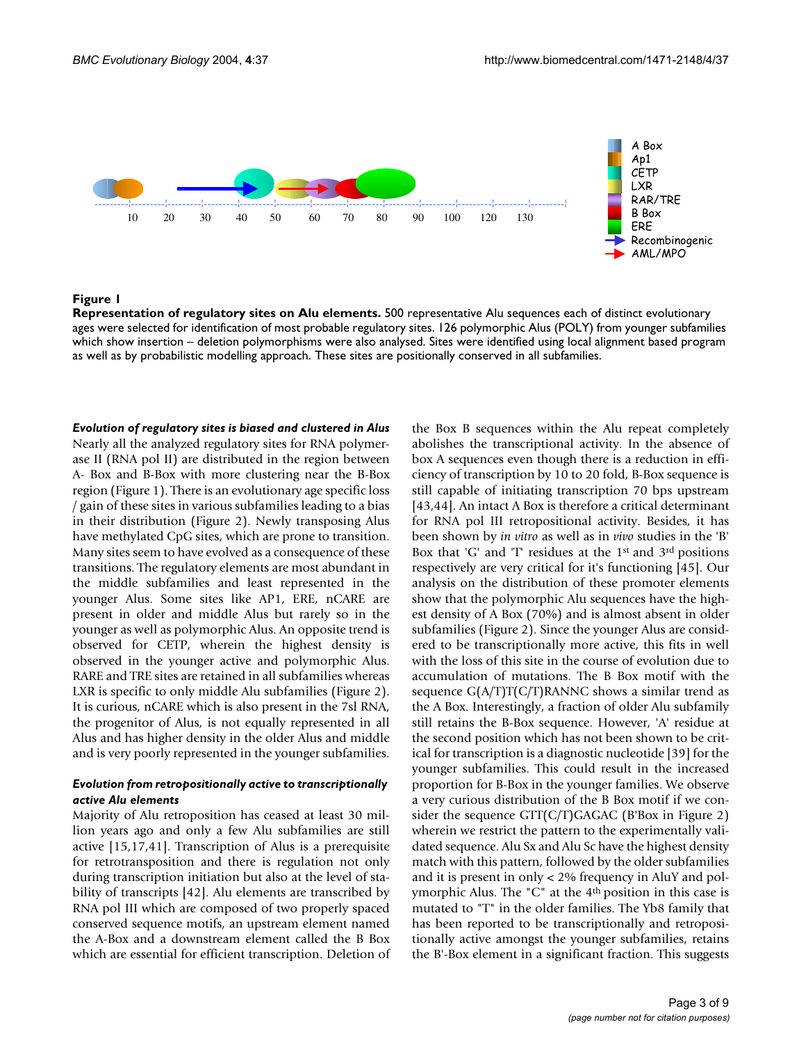<span id="page-2-0"></span>

Figure 1

**Representation of regulatory sites on Alu elements.** 500 representative Alu sequences each of distinct evolutionary ages were selected for identification of most probable regulatory sites. 126 polymorphic Alus (POLY) from younger subfamilies which show insertion – deletion polymorphisms were also analysed. Sites were identified using local alignment based program as well as by probabilistic modelling approach. These sites are positionally conserved in all subfamilies.

*Evolution of regulatory sites is biased and clustered in Alus* Nearly all the analyzed regulatory sites for RNA polymerase II (RNA pol II) are distributed in the region between A- Box and B-Box with more clustering near the B-Box region (Figure [1](#page-2-0)). There is an evolutionary age specific loss / gain of these sites in various subfamilies leading to a bias in their distribution (Figure [2](#page-3-0)). Newly transposing Alus have methylated CpG sites, which are prone to transition. Many sites seem to have evolved as a consequence of these transitions. The regulatory elements are most abundant in the middle subfamilies and least represented in the younger Alus. Some sites like AP1, ERE, nCARE are present in older and middle Alus but rarely so in the younger as well as polymorphic Alus. An opposite trend is observed for CETP, wherein the highest density is observed in the younger active and polymorphic Alus. RARE and TRE sites are retained in all subfamilies whereas LXR is specific to only middle Alu subfamilies (Figure [2\)](#page-3-0). It is curious, nCARE which is also present in the 7sl RNA, the progenitor of Alus, is not equally represented in all Alus and has higher density in the older Alus and middle and is very poorly represented in the younger subfamilies.

#### *Evolution from retropositionally active to transcriptionally active Alu elements*

Majority of Alu retroposition has ceased at least 30 million years ago and only a few Alu subfamilies are still active [15,17,41]. Transcription of Alus is a prerequisite for retrotransposition and there is regulation not only during transcription initiation but also at the level of stability of transcripts [42]. Alu elements are transcribed by RNA pol III which are composed of two properly spaced conserved sequence motifs, an upstream element named the A-Box and a downstream element called the B Box which are essential for efficient transcription. Deletion of the Box B sequences within the Alu repeat completely abolishes the transcriptional activity. In the absence of box A sequences even though there is a reduction in efficiency of transcription by 10 to 20 fold, B-Box sequence is still capable of initiating transcription 70 bps upstream [43,44]. An intact A Box is therefore a critical determinant for RNA pol III retropositional activity. Besides, it has been shown by *in vitro* as well as in *vivo* studies in the 'B' Box that 'G' and 'T' residues at the 1st and 3rd positions respectively are very critical for it's functioning [45]. Our analysis on the distribution of these promoter elements show that the polymorphic Alu sequences have the highest density of A Box (70%) and is almost absent in older subfamilies (Figure [2\)](#page-3-0). Since the younger Alus are considered to be transcriptionally more active, this fits in well with the loss of this site in the course of evolution due to accumulation of mutations. The B Box motif with the sequence  $G(A/T)T(C/T)$ RANNC shows a similar trend as the A Box. Interestingly, a fraction of older Alu subfamily still retains the B-Box sequence. However, 'A' residue at the second position which has not been shown to be critical for transcription is a diagnostic nucleotide [39] for the younger subfamilies. This could result in the increased proportion for B-Box in the younger families. We observe a very curious distribution of the B Box motif if we consider the sequence GTT(C/T)GAGAC (B'Box in Figure [2](#page-3-0)) wherein we restrict the pattern to the experimentally validated sequence. Alu Sx and Alu Sc have the highest density match with this pattern, followed by the older subfamilies and it is present in only < 2% frequency in AluY and polymorphic Alus. The "C" at the 4th position in this case is mutated to "T" in the older families. The Yb8 family that has been reported to be transcriptionally and retropositionally active amongst the younger subfamilies, retains the B'-Box element in a significant fraction. This suggests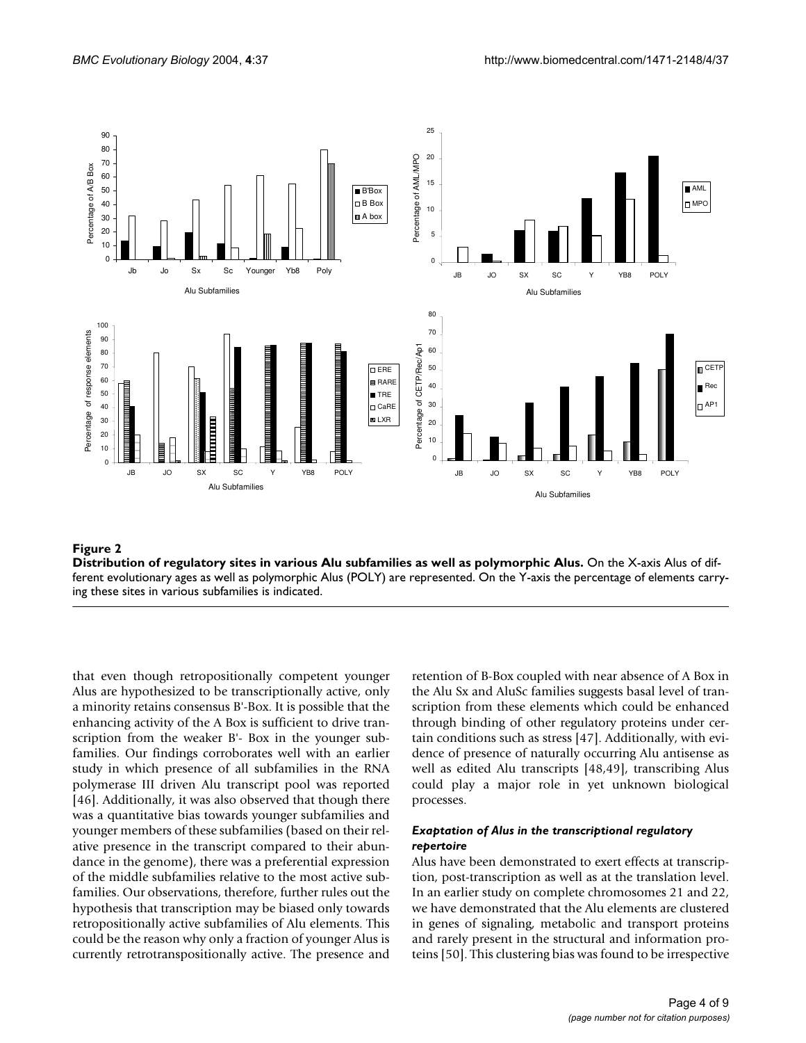<span id="page-3-0"></span>

Distribution of regulatory sites in various Alu subfamilies as well as polymorphic Alus **Figure 2 Distribution of regulatory sites in various Alu subfamilies as well as polymorphic Alus.** On the X-axis Alus of different evolutionary ages as well as polymorphic Alus (POLY) are represented. On the Y-axis the percentage of elements carrying these sites in various subfamilies is indicated.

that even though retropositionally competent younger Alus are hypothesized to be transcriptionally active, only a minority retains consensus B'-Box. It is possible that the enhancing activity of the A Box is sufficient to drive transcription from the weaker B'- Box in the younger subfamilies. Our findings corroborates well with an earlier study in which presence of all subfamilies in the RNA polymerase III driven Alu transcript pool was reported [46]. Additionally, it was also observed that though there was a quantitative bias towards younger subfamilies and younger members of these subfamilies (based on their relative presence in the transcript compared to their abundance in the genome), there was a preferential expression of the middle subfamilies relative to the most active subfamilies. Our observations, therefore, further rules out the hypothesis that transcription may be biased only towards retropositionally active subfamilies of Alu elements. This could be the reason why only a fraction of younger Alus is currently retrotranspositionally active. The presence and

retention of B-Box coupled with near absence of A Box in the Alu Sx and AluSc families suggests basal level of transcription from these elements which could be enhanced through binding of other regulatory proteins under certain conditions such as stress [47]. Additionally, with evidence of presence of naturally occurring Alu antisense as well as edited Alu transcripts [48,49], transcribing Alus could play a major role in yet unknown biological processes.

# *Exaptation of Alus in the transcriptional regulatory repertoire*

Alus have been demonstrated to exert effects at transcription, post-transcription as well as at the translation level. In an earlier study on complete chromosomes 21 and 22, we have demonstrated that the Alu elements are clustered in genes of signaling, metabolic and transport proteins and rarely present in the structural and information proteins [50]. This clustering bias was found to be irrespective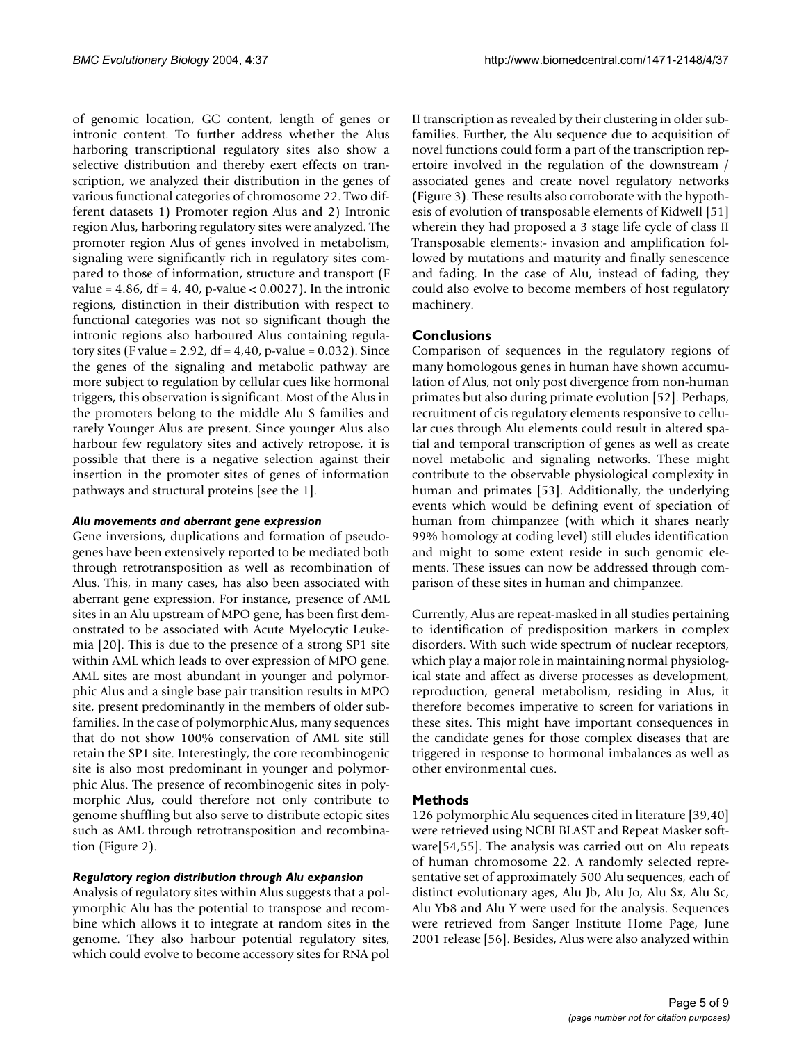of genomic location, GC content, length of genes or intronic content. To further address whether the Alus harboring transcriptional regulatory sites also show a selective distribution and thereby exert effects on transcription, we analyzed their distribution in the genes of various functional categories of chromosome 22. Two different datasets 1) Promoter region Alus and 2) Intronic region Alus, harboring regulatory sites were analyzed. The promoter region Alus of genes involved in metabolism, signaling were significantly rich in regulatory sites compared to those of information, structure and transport (F value =  $4.86$ , df =  $4$ ,  $40$ , p-value <  $0.0027$ ). In the intronic regions, distinction in their distribution with respect to functional categories was not so significant though the intronic regions also harboured Alus containing regulatory sites (F value =  $2.92$ , df =  $4,40$ , p-value =  $0.032$ ). Since the genes of the signaling and metabolic pathway are more subject to regulation by cellular cues like hormonal triggers, this observation is significant. Most of the Alus in the promoters belong to the middle Alu S families and rarely Younger Alus are present. Since younger Alus also harbour few regulatory sites and actively retropose, it is possible that there is a negative selection against their insertion in the promoter sites of genes of information pathways and structural proteins [see the 1].

#### *Alu movements and aberrant gene expression*

Gene inversions, duplications and formation of pseudogenes have been extensively reported to be mediated both through retrotransposition as well as recombination of Alus. This, in many cases, has also been associated with aberrant gene expression. For instance, presence of AML sites in an Alu upstream of MPO gene, has been first demonstrated to be associated with Acute Myelocytic Leukemia [20]. This is due to the presence of a strong SP1 site within AML which leads to over expression of MPO gene. AML sites are most abundant in younger and polymorphic Alus and a single base pair transition results in MPO site, present predominantly in the members of older subfamilies. In the case of polymorphic Alus, many sequences that do not show 100% conservation of AML site still retain the SP1 site. Interestingly, the core recombinogenic site is also most predominant in younger and polymorphic Alus. The presence of recombinogenic sites in polymorphic Alus, could therefore not only contribute to genome shuffling but also serve to distribute ectopic sites such as AML through retrotransposition and recombination (Figure [2\)](#page-3-0).

# *Regulatory region distribution through Alu expansion*

Analysis of regulatory sites within Alus suggests that a polymorphic Alu has the potential to transpose and recombine which allows it to integrate at random sites in the genome. They also harbour potential regulatory sites, which could evolve to become accessory sites for RNA pol

II transcription as revealed by their clustering in older subfamilies. Further, the Alu sequence due to acquisition of novel functions could form a part of the transcription repertoire involved in the regulation of the downstream / associated genes and create novel regulatory networks (Figure [3](#page-5-0)). These results also corroborate with the hypothesis of evolution of transposable elements of Kidwell [51] wherein they had proposed a 3 stage life cycle of class II Transposable elements:- invasion and amplification followed by mutations and maturity and finally senescence and fading. In the case of Alu, instead of fading, they could also evolve to become members of host regulatory machinery.

# **Conclusions**

Comparison of sequences in the regulatory regions of many homologous genes in human have shown accumulation of Alus, not only post divergence from non-human primates but also during primate evolution [52]. Perhaps, recruitment of cis regulatory elements responsive to cellular cues through Alu elements could result in altered spatial and temporal transcription of genes as well as create novel metabolic and signaling networks. These might contribute to the observable physiological complexity in human and primates [53]. Additionally, the underlying events which would be defining event of speciation of human from chimpanzee (with which it shares nearly 99% homology at coding level) still eludes identification and might to some extent reside in such genomic elements. These issues can now be addressed through comparison of these sites in human and chimpanzee.

Currently, Alus are repeat-masked in all studies pertaining to identification of predisposition markers in complex disorders. With such wide spectrum of nuclear receptors, which play a major role in maintaining normal physiological state and affect as diverse processes as development, reproduction, general metabolism, residing in Alus, it therefore becomes imperative to screen for variations in these sites. This might have important consequences in the candidate genes for those complex diseases that are triggered in response to hormonal imbalances as well as other environmental cues.

# **Methods**

126 polymorphic Alu sequences cited in literature [39,40] were retrieved using NCBI BLAST and Repeat Masker software[54,55]. The analysis was carried out on Alu repeats of human chromosome 22. A randomly selected representative set of approximately 500 Alu sequences, each of distinct evolutionary ages, Alu Jb, Alu Jo, Alu Sx, Alu Sc, Alu Yb8 and Alu Y were used for the analysis. Sequences were retrieved from Sanger Institute Home Page, June 2001 release [56]. Besides, Alus were also analyzed within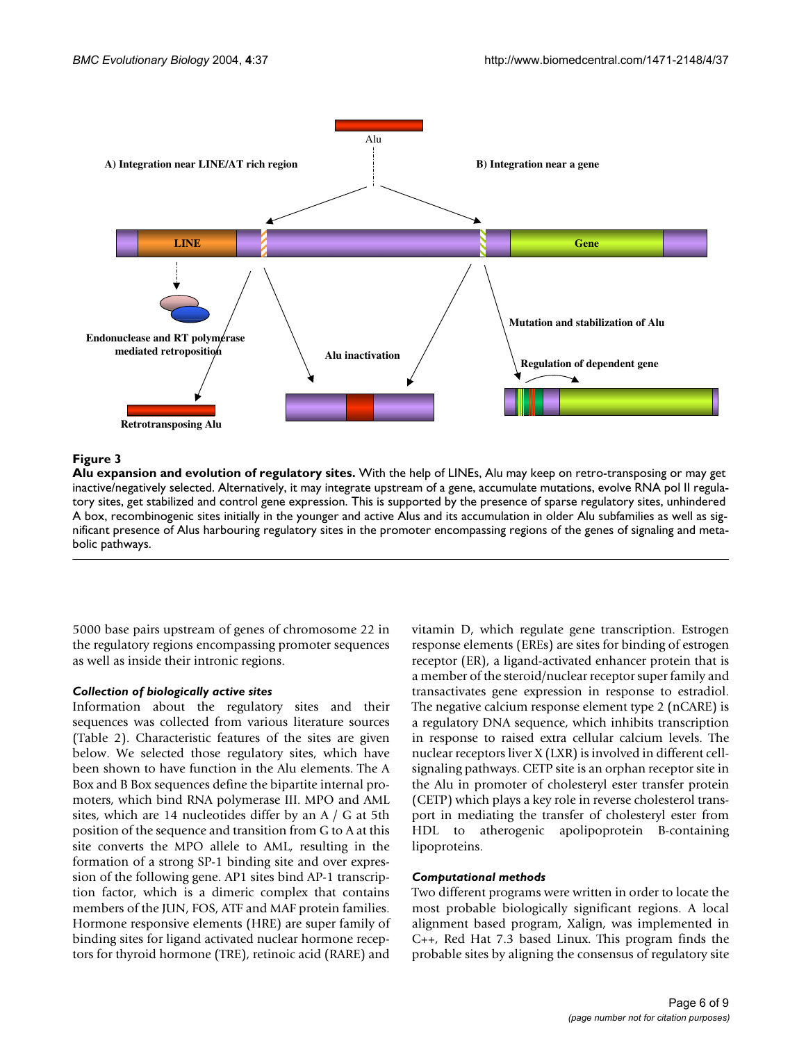<span id="page-5-0"></span>

# **Figure 3**

**Alu expansion and evolution of regulatory sites.** With the help of LINEs, Alu may keep on retro-transposing or may get inactive/negatively selected. Alternatively, it may integrate upstream of a gene, accumulate mutations, evolve RNA pol II regulatory sites, get stabilized and control gene expression. This is supported by the presence of sparse regulatory sites, unhindered A box, recombinogenic sites initially in the younger and active Alus and its accumulation in older Alu subfamilies as well as significant presence of Alus harbouring regulatory sites in the promoter encompassing regions of the genes of signaling and metabolic pathways.

5000 base pairs upstream of genes of chromosome 22 in the regulatory regions encompassing promoter sequences as well as inside their intronic regions.

#### *Collection of biologically active sites*

Information about the regulatory sites and their sequences was collected from various literature sources (Table [2](#page-6-0)). Characteristic features of the sites are given below. We selected those regulatory sites, which have been shown to have function in the Alu elements. The A Box and B Box sequences define the bipartite internal promoters, which bind RNA polymerase III. MPO and AML sites, which are 14 nucleotides differ by an A / G at 5th position of the sequence and transition from G to A at this site converts the MPO allele to AML, resulting in the formation of a strong SP-1 binding site and over expression of the following gene. AP1 sites bind AP-1 transcription factor, which is a dimeric complex that contains members of the JUN, FOS, ATF and MAF protein families. Hormone responsive elements (HRE) are super family of binding sites for ligand activated nuclear hormone receptors for thyroid hormone (TRE), retinoic acid (RARE) and

vitamin D, which regulate gene transcription. Estrogen response elements (EREs) are sites for binding of estrogen receptor (ER), a ligand-activated enhancer protein that is a member of the steroid/nuclear receptor super family and transactivates gene expression in response to estradiol. The negative calcium response element type 2 (nCARE) is a regulatory DNA sequence, which inhibits transcription in response to raised extra cellular calcium levels. The nuclear receptors liver X (LXR) is involved in different cellsignaling pathways. CETP site is an orphan receptor site in the Alu in promoter of cholesteryl ester transfer protein (CETP) which plays a key role in reverse cholesterol transport in mediating the transfer of cholesteryl ester from HDL to atherogenic apolipoprotein B-containing lipoproteins.

#### *Computational methods*

Two different programs were written in order to locate the most probable biologically significant regions. A local alignment based program, Xalign, was implemented in C++, Red Hat 7.3 based Linux. This program finds the probable sites by aligning the consensus of regulatory site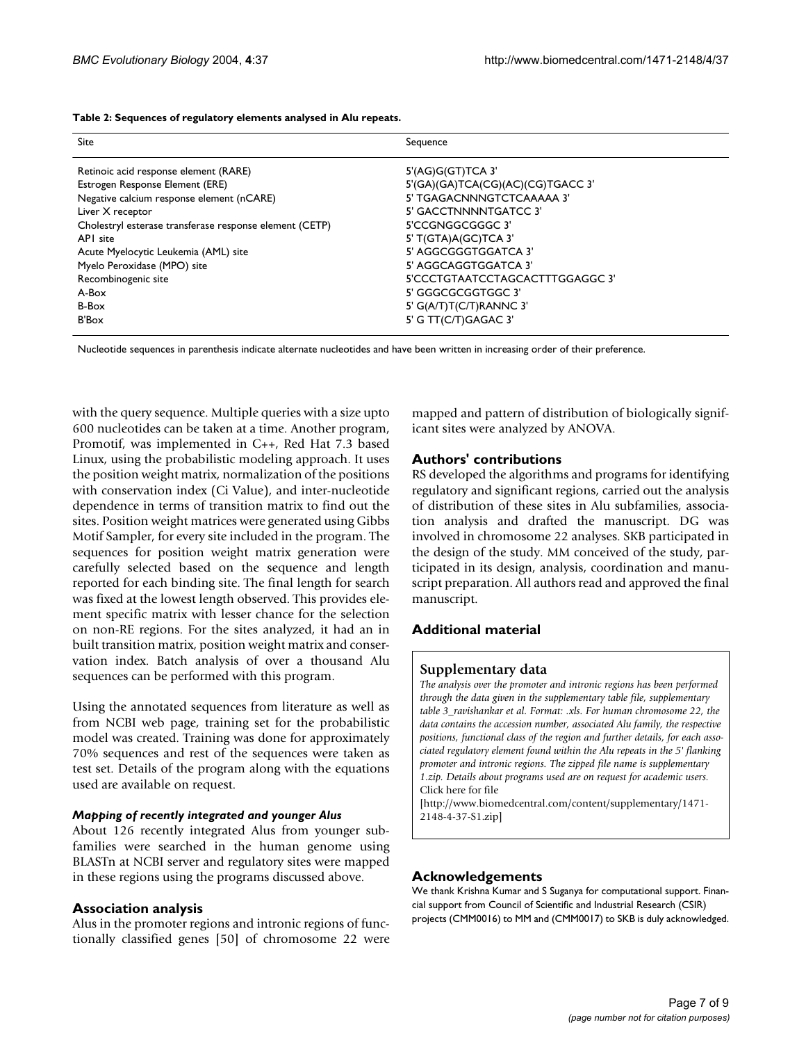| Site                                                    | Sequence                          |
|---------------------------------------------------------|-----------------------------------|
|                                                         |                                   |
| Retinoic acid response element (RARE)                   | $5'(AG)G(GT)TCA$ 3'               |
| Estrogen Response Element (ERE)                         | 5'(GA)(GA)TCA(CG)(AC)(CG)TGACC 3' |
| Negative calcium response element (nCARE)               | 5' TGAGACNNNGTCTCAAAAA 3'         |
| Liver X receptor                                        | 5' GACCTNNNNTGATCC 3'             |
| Cholestryl esterase transferase response element (CETP) | 5'CCGNGGCGGGC 3'                  |
| API site                                                | 5' T(GTA)A(GC)TCA 3'              |
| Acute Myelocytic Leukemia (AML) site                    | 5' AGGCGGGTGGATCA 3'              |
| Myelo Peroxidase (MPO) site                             | 5' AGGCAGGTGGATCA 3'              |
| Recombinogenic site                                     | 5'CCCTGTAATCCTAGCACTTTGGAGGC 3'   |
| A-Box                                                   | 5' GGGCGCGGTGGC 3'                |
| B-Box                                                   | 5' G(A/T)T(C/T)RANNC 3'           |
| B'Box                                                   | 5' G TT(C/T)GAGAC 3'              |

<span id="page-6-0"></span>**Table 2: Sequences of regulatory elements analysed in Alu repeats.**

Nucleotide sequences in parenthesis indicate alternate nucleotides and have been written in increasing order of their preference.

with the query sequence. Multiple queries with a size upto 600 nucleotides can be taken at a time. Another program, Promotif, was implemented in C++, Red Hat 7.3 based Linux, using the probabilistic modeling approach. It uses the position weight matrix, normalization of the positions with conservation index (Ci Value), and inter-nucleotide dependence in terms of transition matrix to find out the sites. Position weight matrices were generated using Gibbs Motif Sampler, for every site included in the program. The sequences for position weight matrix generation were carefully selected based on the sequence and length reported for each binding site. The final length for search was fixed at the lowest length observed. This provides element specific matrix with lesser chance for the selection on non-RE regions. For the sites analyzed, it had an in built transition matrix, position weight matrix and conservation index. Batch analysis of over a thousand Alu sequences can be performed with this program.

Using the annotated sequences from literature as well as from NCBI web page, training set for the probabilistic model was created. Training was done for approximately 70% sequences and rest of the sequences were taken as test set. Details of the program along with the equations used are available on request.

#### *Mapping of recently integrated and younger Alus*

About 126 recently integrated Alus from younger subfamilies were searched in the human genome using BLASTn at NCBI server and regulatory sites were mapped in these regions using the programs discussed above.

#### **Association analysis**

Alus in the promoter regions and intronic regions of functionally classified genes [50] of chromosome 22 were mapped and pattern of distribution of biologically significant sites were analyzed by ANOVA.

#### **Authors' contributions**

RS developed the algorithms and programs for identifying regulatory and significant regions, carried out the analysis of distribution of these sites in Alu subfamilies, association analysis and drafted the manuscript. DG was involved in chromosome 22 analyses. SKB participated in the design of the study. MM conceived of the study, participated in its design, analysis, coordination and manuscript preparation. All authors read and approved the final manuscript.

# **Additional material**

#### **Supplementary data**

*The analysis over the promoter and intronic regions has been performed through the data given in the supplementary table file, supplementary table 3\_ravishankar et al. Format: .xls. For human chromosome 22, the data contains the accession number, associated Alu family, the respective positions, functional class of the region and further details, for each associated regulatory element found within the Alu repeats in the 5' flanking [promoter and intronic regions. The zipped file name is supplementary](http://www.biomedcentral.com/content/supplementary/1471-2148-4-37-S1.zip)  1.zip. Details about programs used are on request for academic users.* Click here for file

[http://www.biomedcentral.com/content/supplementary/1471- 2148-4-37-S1.zip]

# **Acknowledgements**

We thank Krishna Kumar and S Suganya for computational support. Financial support from Council of Scientific and Industrial Research (CSIR) projects (CMM0016) to MM and (CMM0017) to SKB is duly acknowledged.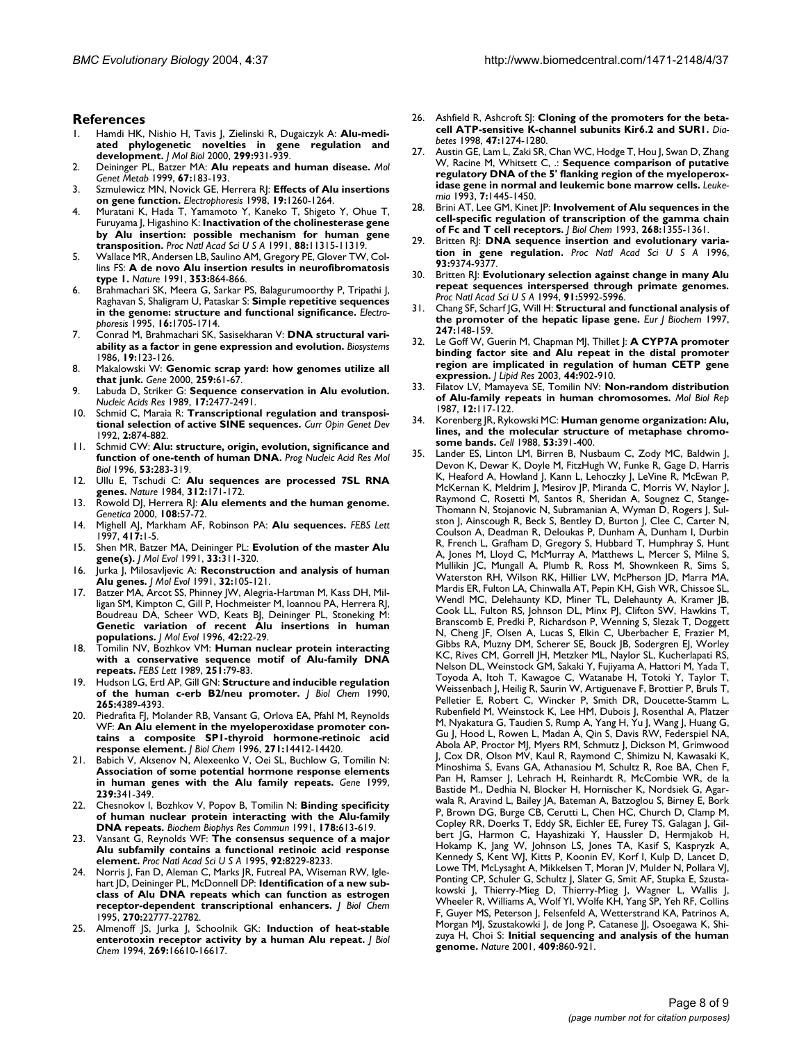#### **References**

- 1. Hamdi HK, Nishio H, Tavis J, Zielinski R, Dugaiczyk A: **[Alu-medi](http://www.ncbi.nlm.nih.gov/entrez/query.fcgi?cmd=Retrieve&db=PubMed&dopt=Abstract&list_uids=10843848)[ated phylogenetic novelties in gene regulation and](http://www.ncbi.nlm.nih.gov/entrez/query.fcgi?cmd=Retrieve&db=PubMed&dopt=Abstract&list_uids=10843848) [development.](http://www.ncbi.nlm.nih.gov/entrez/query.fcgi?cmd=Retrieve&db=PubMed&dopt=Abstract&list_uids=10843848)** *J Mol Biol* 2000, **299:**931-939.
- 2. Deininger PL, Batzer MA: **[Alu repeats and human disease.](http://www.ncbi.nlm.nih.gov/entrez/query.fcgi?cmd=Retrieve&db=PubMed&dopt=Abstract&list_uids=10381326)** *Mol Genet Metab* 1999, **67:**183-193.
- 3. Szmulewicz MN, Novick GE, Herrera RJ: **[Effects of Alu insertions](http://www.ncbi.nlm.nih.gov/entrez/query.fcgi?cmd=Retrieve&db=PubMed&dopt=Abstract&list_uids=9694261) [on gene function.](http://www.ncbi.nlm.nih.gov/entrez/query.fcgi?cmd=Retrieve&db=PubMed&dopt=Abstract&list_uids=9694261)** *Electrophoresis* 1998, **19:**1260-1264.
- 4. Muratani K, Hada T, Yamamoto Y, Kaneko T, Shigeto Y, Ohue T, Furuyama J, Higashino K: **[Inactivation of the cholinesterase gene](http://www.ncbi.nlm.nih.gov/entrez/query.fcgi?cmd=Retrieve&db=PubMed&dopt=Abstract&list_uids=1662391) [by Alu insertion: possible mechanism for human gene](http://www.ncbi.nlm.nih.gov/entrez/query.fcgi?cmd=Retrieve&db=PubMed&dopt=Abstract&list_uids=1662391) [transposition.](http://www.ncbi.nlm.nih.gov/entrez/query.fcgi?cmd=Retrieve&db=PubMed&dopt=Abstract&list_uids=1662391)** *Proc Natl Acad Sci U S A* 1991, **88:**11315-11319.
- 5. Wallace MR, Andersen LB, Saulino AM, Gregory PE, Glover TW, Collins FS: **[A de novo Alu insertion results in neurofibromatosis](http://www.ncbi.nlm.nih.gov/entrez/query.fcgi?cmd=Retrieve&db=PubMed&dopt=Abstract&list_uids=1719426) [type 1.](http://www.ncbi.nlm.nih.gov/entrez/query.fcgi?cmd=Retrieve&db=PubMed&dopt=Abstract&list_uids=1719426)** *Nature* 1991, **353:**864-866.
- 6. Brahmachari SK, Meera G, Sarkar PS, Balagurumoorthy P, Tripathi J, Raghavan S, Shaligram U, Pataskar S: **[Simple repetitive sequences](http://www.ncbi.nlm.nih.gov/entrez/query.fcgi?cmd=Retrieve&db=PubMed&dopt=Abstract&list_uids=8582360) [in the genome: structure and functional significance.](http://www.ncbi.nlm.nih.gov/entrez/query.fcgi?cmd=Retrieve&db=PubMed&dopt=Abstract&list_uids=8582360)** *Electrophoresis* 1995, **16:**1705-1714.
- 7. Conrad M, Brahmachari SK, Sasisekharan V: **[DNA structural vari](http://www.ncbi.nlm.nih.gov/entrez/query.fcgi?cmd=Retrieve&db=PubMed&dopt=Abstract&list_uids=3730535)[ability as a factor in gene expression and evolution.](http://www.ncbi.nlm.nih.gov/entrez/query.fcgi?cmd=Retrieve&db=PubMed&dopt=Abstract&list_uids=3730535)** *Biosystems* 1986, **19:**123-126.
- 8. Makalowski W: **[Genomic scrap yard: how genomes utilize all](http://www.ncbi.nlm.nih.gov/entrez/query.fcgi?cmd=Retrieve&db=PubMed&dopt=Abstract&list_uids=11163962) [that junk.](http://www.ncbi.nlm.nih.gov/entrez/query.fcgi?cmd=Retrieve&db=PubMed&dopt=Abstract&list_uids=11163962)** *Gene* 2000, **259:**61-67.
- 9. Labuda D, Striker G: **[Sequence conservation in Alu evolution.](http://www.ncbi.nlm.nih.gov/entrez/query.fcgi?cmd=Retrieve&db=PubMed&dopt=Abstract&list_uids=2541408)** *Nucleic Acids Res* 1989, **17:**2477-2491.
- Schmid C, Maraia R: [Transcriptional regulation and transposi](http://www.ncbi.nlm.nih.gov/entrez/query.fcgi?cmd=Retrieve&db=PubMed&dopt=Abstract&list_uids=1335809)**[tional selection of active SINE sequences.](http://www.ncbi.nlm.nih.gov/entrez/query.fcgi?cmd=Retrieve&db=PubMed&dopt=Abstract&list_uids=1335809)** *Curr Opin Genet Dev* 1992, **2:**874-882.
- 11. Schmid CW: **[Alu: structure, origin, evolution, significance and](http://www.ncbi.nlm.nih.gov/entrez/query.fcgi?cmd=Retrieve&db=PubMed&dopt=Abstract&list_uids=8650306) [function of one-tenth of human DNA.](http://www.ncbi.nlm.nih.gov/entrez/query.fcgi?cmd=Retrieve&db=PubMed&dopt=Abstract&list_uids=8650306)** *Prog Nucleic Acid Res Mol Biol* 1996, **53:**283-319.
- 12. Ullu E, Tschudi C: **[Alu sequences are processed 7SL RNA](http://www.ncbi.nlm.nih.gov/entrez/query.fcgi?cmd=Retrieve&db=PubMed&dopt=Abstract&list_uids=6209580) [genes.](http://www.ncbi.nlm.nih.gov/entrez/query.fcgi?cmd=Retrieve&db=PubMed&dopt=Abstract&list_uids=6209580)** *Nature* 1984, **312:**171-172.
- 13. Rowold DJ, Herrera RJ: **[Alu elements and the human genome.](http://www.ncbi.nlm.nih.gov/entrez/query.fcgi?cmd=Retrieve&db=PubMed&dopt=Abstract&list_uids=11145422)** *Genetica* 2000, **108:**57-72.
- 14. Mighell AJ, Markham AF, Robinson PA: **[Alu sequences.](http://www.ncbi.nlm.nih.gov/entrez/query.fcgi?cmd=Retrieve&db=PubMed&dopt=Abstract&list_uids=9395063)** *FEBS Lett* 1997, **417:**1-5.
- 15. Shen MR, Batzer MA, Deininger PL: **[Evolution of the master Alu](http://www.ncbi.nlm.nih.gov/entrez/query.fcgi?cmd=Retrieve&db=PubMed&dopt=Abstract&list_uids=1774786) [gene\(s\).](http://www.ncbi.nlm.nih.gov/entrez/query.fcgi?cmd=Retrieve&db=PubMed&dopt=Abstract&list_uids=1774786)** *J Mol Evol* 1991, **33:**311-320.
- 16. Jurka J, Milosavljevic A: **[Reconstruction and analysis of human](http://www.ncbi.nlm.nih.gov/entrez/query.fcgi?cmd=Retrieve&db=PubMed&dopt=Abstract&list_uids=1706781) [Alu genes.](http://www.ncbi.nlm.nih.gov/entrez/query.fcgi?cmd=Retrieve&db=PubMed&dopt=Abstract&list_uids=1706781)** *J Mol Evol* 1991, **32:**105-121.
- 17. Batzer MA, Arcot SS, Phinney JW, Alegria-Hartman M, Kass DH, Milligan SM, Kimpton C, Gill P, Hochmeister M, Ioannou PA, Herrera RJ, Boudreau DA, Scheer WD, Keats BJ, Deininger PL, Stoneking M: **[Genetic variation of recent Alu insertions in human](http://www.ncbi.nlm.nih.gov/entrez/query.fcgi?cmd=Retrieve&db=PubMed&dopt=Abstract&list_uids=8576959) [populations.](http://www.ncbi.nlm.nih.gov/entrez/query.fcgi?cmd=Retrieve&db=PubMed&dopt=Abstract&list_uids=8576959)** *J Mol Evol* 1996, **42:**22-29.
- 18. Tomilin NV, Bozhkov VM: **[Human nuclear protein interacting](http://www.ncbi.nlm.nih.gov/entrez/query.fcgi?cmd=Retrieve&db=PubMed&dopt=Abstract&list_uids=2546828) [with a conservative sequence motif of Alu-family DNA](http://www.ncbi.nlm.nih.gov/entrez/query.fcgi?cmd=Retrieve&db=PubMed&dopt=Abstract&list_uids=2546828) [repeats.](http://www.ncbi.nlm.nih.gov/entrez/query.fcgi?cmd=Retrieve&db=PubMed&dopt=Abstract&list_uids=2546828)** *FEBS Lett* 1989, **251:**79-83.
- 19. Hudson LG, Ertl AP, Gill GN: **[Structure and inducible regulation](http://www.ncbi.nlm.nih.gov/entrez/query.fcgi?cmd=Retrieve&db=PubMed&dopt=Abstract&list_uids=1968458) [of the human c-erb B2/neu promoter.](http://www.ncbi.nlm.nih.gov/entrez/query.fcgi?cmd=Retrieve&db=PubMed&dopt=Abstract&list_uids=1968458)** *J Biol Chem* 1990, **265:**4389-4393.
- 20. Piedrafita FJ, Molander RB, Vansant G, Orlova EA, Pfahl M, Reynolds WF: **[An Alu element in the myeloperoxidase promoter con](http://www.ncbi.nlm.nih.gov/entrez/query.fcgi?cmd=Retrieve&db=PubMed&dopt=Abstract&list_uids=8662930)[tains a composite SP1-thyroid hormone-retinoic acid](http://www.ncbi.nlm.nih.gov/entrez/query.fcgi?cmd=Retrieve&db=PubMed&dopt=Abstract&list_uids=8662930) [response element.](http://www.ncbi.nlm.nih.gov/entrez/query.fcgi?cmd=Retrieve&db=PubMed&dopt=Abstract&list_uids=8662930)** *J Biol Chem* 1996, **271:**14412-14420.
- 21. Babich V, Aksenov N, Alexeenko V, Oei SL, Buchlow G, Tomilin N: **[Association of some potential hormone response elements](http://www.ncbi.nlm.nih.gov/entrez/query.fcgi?cmd=Retrieve&db=PubMed&dopt=Abstract&list_uids=10548736) [in human genes with the Alu family repeats.](http://www.ncbi.nlm.nih.gov/entrez/query.fcgi?cmd=Retrieve&db=PubMed&dopt=Abstract&list_uids=10548736)** *Gene* 1999, **239:**341-349.
- 22. Chesnokov I, Bozhkov V, Popov B, Tomilin N: **[Binding specificity](http://www.ncbi.nlm.nih.gov/entrez/query.fcgi?cmd=Retrieve&db=PubMed&dopt=Abstract&list_uids=1859421) [of human nuclear protein interacting with the Alu-family](http://www.ncbi.nlm.nih.gov/entrez/query.fcgi?cmd=Retrieve&db=PubMed&dopt=Abstract&list_uids=1859421) [DNA repeats.](http://www.ncbi.nlm.nih.gov/entrez/query.fcgi?cmd=Retrieve&db=PubMed&dopt=Abstract&list_uids=1859421)** *Biochem Biophys Res Commun* 1991, **178:**613-619.
- Vansant G, Reynolds WF: [The consensus sequence of a major](http://www.ncbi.nlm.nih.gov/entrez/query.fcgi?cmd=Retrieve&db=PubMed&dopt=Abstract&list_uids=7667273) **[Alu subfamily contains a functional retinoic acid response](http://www.ncbi.nlm.nih.gov/entrez/query.fcgi?cmd=Retrieve&db=PubMed&dopt=Abstract&list_uids=7667273) [element.](http://www.ncbi.nlm.nih.gov/entrez/query.fcgi?cmd=Retrieve&db=PubMed&dopt=Abstract&list_uids=7667273)** *Proc Natl Acad Sci U S A* 1995, **92:**8229-8233.
- 24. Norris J, Fan D, Aleman C, Marks JR, Futreal PA, Wiseman RW, Iglehart JD, Deininger PL, McDonnell DP: **[Identification of a new sub](http://www.ncbi.nlm.nih.gov/entrez/query.fcgi?cmd=Retrieve&db=PubMed&dopt=Abstract&list_uids=7559405)[class of Alu DNA repeats which can function as estrogen](http://www.ncbi.nlm.nih.gov/entrez/query.fcgi?cmd=Retrieve&db=PubMed&dopt=Abstract&list_uids=7559405) [receptor-dependent transcriptional enhancers.](http://www.ncbi.nlm.nih.gov/entrez/query.fcgi?cmd=Retrieve&db=PubMed&dopt=Abstract&list_uids=7559405)** *J Biol Chem* 1995, **270:**22777-22782.
- 25. Almenoff JS, Jurka J, Schoolnik GK: **[Induction of heat-stable](http://www.ncbi.nlm.nih.gov/entrez/query.fcgi?cmd=Retrieve&db=PubMed&dopt=Abstract&list_uids=8206979) [enterotoxin receptor activity by a human Alu repeat.](http://www.ncbi.nlm.nih.gov/entrez/query.fcgi?cmd=Retrieve&db=PubMed&dopt=Abstract&list_uids=8206979)** *J Biol Chem* 1994, **269:**16610-16617.
- 26. Ashfield R, Ashcroft S|: **[Cloning of the promoters for the beta](http://www.ncbi.nlm.nih.gov/entrez/query.fcgi?cmd=Retrieve&db=PubMed&dopt=Abstract&list_uids=9703328)[cell ATP-sensitive K-channel subunits Kir6.2 and SUR1.](http://www.ncbi.nlm.nih.gov/entrez/query.fcgi?cmd=Retrieve&db=PubMed&dopt=Abstract&list_uids=9703328)** *Diabetes* 1998, **47:**1274-1280.
- 27. Austin GE, Lam L, Zaki SR, Chan WC, Hodge T, Hou J, Swan D, Zhang W, Racine M, Whitsett C, .: **[Sequence comparison of putative](http://www.ncbi.nlm.nih.gov/entrez/query.fcgi?cmd=Retrieve&db=PubMed&dopt=Abstract&list_uids=8396697) [regulatory DNA of the 5' flanking region of the myeloperox](http://www.ncbi.nlm.nih.gov/entrez/query.fcgi?cmd=Retrieve&db=PubMed&dopt=Abstract&list_uids=8396697)[idase gene in normal and leukemic bone marrow cells.](http://www.ncbi.nlm.nih.gov/entrez/query.fcgi?cmd=Retrieve&db=PubMed&dopt=Abstract&list_uids=8396697)** *Leukemia* 1993, **7:**1445-1450.
- 28. Brini AT, Lee GM, Kinet JP: **[Involvement of Alu sequences in the](http://www.ncbi.nlm.nih.gov/entrez/query.fcgi?cmd=Retrieve&db=PubMed&dopt=Abstract&list_uids=8419337) [cell-specific regulation of transcription of the gamma chain](http://www.ncbi.nlm.nih.gov/entrez/query.fcgi?cmd=Retrieve&db=PubMed&dopt=Abstract&list_uids=8419337) [of Fc and T cell receptors.](http://www.ncbi.nlm.nih.gov/entrez/query.fcgi?cmd=Retrieve&db=PubMed&dopt=Abstract&list_uids=8419337)** *J Biol Chem* 1993, **268:**1355-1361.
- 29. Britten RJ: **[DNA sequence insertion and evolutionary varia](http://www.ncbi.nlm.nih.gov/entrez/query.fcgi?cmd=Retrieve&db=PubMed&dopt=Abstract&list_uids=8790336)[tion in gene regulation.](http://www.ncbi.nlm.nih.gov/entrez/query.fcgi?cmd=Retrieve&db=PubMed&dopt=Abstract&list_uids=8790336)** *Proc Natl Acad Sci U S A* 1996, **93:**9374-9377.
- 30. Britten RJ: **[Evolutionary selection against change in many Alu](http://www.ncbi.nlm.nih.gov/entrez/query.fcgi?cmd=Retrieve&db=PubMed&dopt=Abstract&list_uids=8016103) [repeat sequences interspersed through primate genomes.](http://www.ncbi.nlm.nih.gov/entrez/query.fcgi?cmd=Retrieve&db=PubMed&dopt=Abstract&list_uids=8016103)** *Proc Natl Acad Sci U S A* 1994, **91:**5992-5996.
- 31. Chang SF, Scharf JG, Will H: **[Structural and functional analysis of](http://www.ncbi.nlm.nih.gov/entrez/query.fcgi?cmd=Retrieve&db=PubMed&dopt=Abstract&list_uids=9249021) [the promoter of the hepatic lipase gene.](http://www.ncbi.nlm.nih.gov/entrez/query.fcgi?cmd=Retrieve&db=PubMed&dopt=Abstract&list_uids=9249021)** *Eur J Biochem* 1997, **247:**148-159.
- 32. Le Goff W, Guerin M, Chapman MJ, Thillet J: **[A CYP7A promoter](http://www.ncbi.nlm.nih.gov/entrez/query.fcgi?cmd=Retrieve&db=PubMed&dopt=Abstract&list_uids=12588948) binding factor site and Alu repeat in the distal promoter [region are implicated in regulation of human CETP gene](http://www.ncbi.nlm.nih.gov/entrez/query.fcgi?cmd=Retrieve&db=PubMed&dopt=Abstract&list_uids=12588948) [expression.](http://www.ncbi.nlm.nih.gov/entrez/query.fcgi?cmd=Retrieve&db=PubMed&dopt=Abstract&list_uids=12588948)** *J Lipid Res* 2003, **44:**902-910.
- 33. Filatov LV, Mamayeva SE, Tomilin NV: **[Non-random distribution](http://www.ncbi.nlm.nih.gov/entrez/query.fcgi?cmd=Retrieve&db=PubMed&dopt=Abstract&list_uids=3670286) [of Alu-family repeats in human chromosomes.](http://www.ncbi.nlm.nih.gov/entrez/query.fcgi?cmd=Retrieve&db=PubMed&dopt=Abstract&list_uids=3670286)** *Mol Biol Rep* 1987, **12:**117-122.
- 34. Korenberg JR, Rykowski MC: **[Human genome organization: Alu,](http://www.ncbi.nlm.nih.gov/entrez/query.fcgi?cmd=Retrieve&db=PubMed&dopt=Abstract&list_uids=3365767) [lines, and the molecular structure of metaphase chromo](http://www.ncbi.nlm.nih.gov/entrez/query.fcgi?cmd=Retrieve&db=PubMed&dopt=Abstract&list_uids=3365767)[some bands.](http://www.ncbi.nlm.nih.gov/entrez/query.fcgi?cmd=Retrieve&db=PubMed&dopt=Abstract&list_uids=3365767)** *Cell* 1988, **53:**391-400.
- 35. Lander ES, Linton LM, Birren B, Nusbaum C, Zody MC, Baldwin J, Devon K, Dewar K, Doyle M, FitzHugh W, Funke R, Gage D, Harris K, Heaford A, Howland J, Kann L, Lehoczky J, LeVine R, McEwan P, McKernan K, Meldrim J, Mesirov JP, Miranda C, Morris W, Naylor J, Raymond C, Rosetti M, Santos R, Sheridan A, Sougnez C, Stange-Thomann N, Stojanovic N, Subramanian A, Wyman D, Rogers J, Sulston J, Ainscough R, Beck S, Bentley D, Burton J, Clee C, Carter N, Coulson A, Deadman R, Deloukas P, Dunham A, Dunham I, Durbin R, French L, Grafham D, Gregory S, Hubbard T, Humphray S, Hunt A, Jones M, Lloyd C, McMurray A, Matthews L, Mercer S, Milne S, Mullikin JC, Mungall A, Plumb R, Ross M, Shownkeen R, Sims S, Waterston RH, Wilson RK, Hillier LW, McPherson JD, Marra MA, Mardis ER, Fulton LA, Chinwalla AT, Pepin KH, Gish WR, Chissoe SL, Wendl MC, Delehaunty KD, Miner TL, Delehaunty A, Kramer JB, Cook LL, Fulton RS, Johnson DL, Minx PJ, Clifton SW, Hawkins T, Branscomb E, Predki P, Richardson P, Wenning S, Slezak T, Doggett N, Cheng JF, Olsen A, Lucas S, Elkin C, Uberbacher E, Frazier M, Gibbs RA, Muzny DM, Scherer SE, Bouck JB, Sodergren EJ, Worley KC, Rives CM, Gorrell JH, Metzker ML, Naylor SL, Kucherlapati RS, Nelson DL, Weinstock GM, Sakaki Y, Fujiyama A, Hattori M, Yada T, Toyoda A, Itoh T, Kawagoe C, Watanabe H, Totoki Y, Taylor T, Weissenbach J, Heilig R, Saurin W, Artiguenave F, Brottier P, Bruls T, Pelletier E, Robert C, Wincker P, Smith DR, Doucette-Stamm L, Rubenfield M, Weinstock K, Lee HM, Dubois J, Rosenthal A, Platzer M, Nyakatura G, Taudien S, Rump A, Yang H, Yu J, Wang J, Huang G, Gu J, Hood L, Rowen L, Madan A, Qin S, Davis RW, Federspiel NA, Abola AP, Proctor MJ, Myers RM, Schmutz J, Dickson M, Grimwood J, Cox DR, Olson MV, Kaul R, Raymond C, Shimizu N, Kawasaki K, Minoshima S, Evans GA, Athanasiou M, Schultz R, Roe BA, Chen F, Pan H, Ramser J, Lehrach H, Reinhardt R, McCombie WR, de la Bastide M., Dedhia N, Blocker H, Hornischer K, Nordsiek G, Agarwala R, Aravind L, Bailey JA, Bateman A, Batzoglou S, Birney E, Bork P, Brown DG, Burge CB, Cerutti L, Chen HC, Church D, Clamp M, Copley RR, Doerks T, Eddy SR, Eichler EE, Furey TS, Galagan J, Gilbert JG, Harmon C, Hayashizaki Y, Haussler D, Hermjakob H, Hokamp K, Jang W, Johnson LS, Jones TA, Kasif S, Kaspryzk A, Kennedy S, Kent WJ, Kitts P, Koonin EV, Korf I, Kulp D, Lancet D, Lowe TM, McLysaght A, Mikkelsen T, Moran JV, Mulder N, Pollara VJ, Ponting CP, Schuler G, Schultz J, Slater G, Smit AF, Stupka E, Szustakowski J, Thierry-Mieg D, Thierry-Mieg J, Wagner L, Wallis J, Wheeler R, Williams A, Wolf YI, Wolfe KH, Yang SP, Yeh RF, Collins F, Guyer MS, Peterson J, Felsenfeld A, Wetterstrand KA, Patrinos A, Morgan MJ, Szustakowki J, de Jong P, Catanese JJ, Osoegawa K, Shizuya H, Choi S: **[Initial sequencing and analysis of the human](http://www.ncbi.nlm.nih.gov/entrez/query.fcgi?cmd=Retrieve&db=PubMed&dopt=Abstract&list_uids=11237011) [genome.](http://www.ncbi.nlm.nih.gov/entrez/query.fcgi?cmd=Retrieve&db=PubMed&dopt=Abstract&list_uids=11237011)** *Nature* 2001, **409:**860-921.